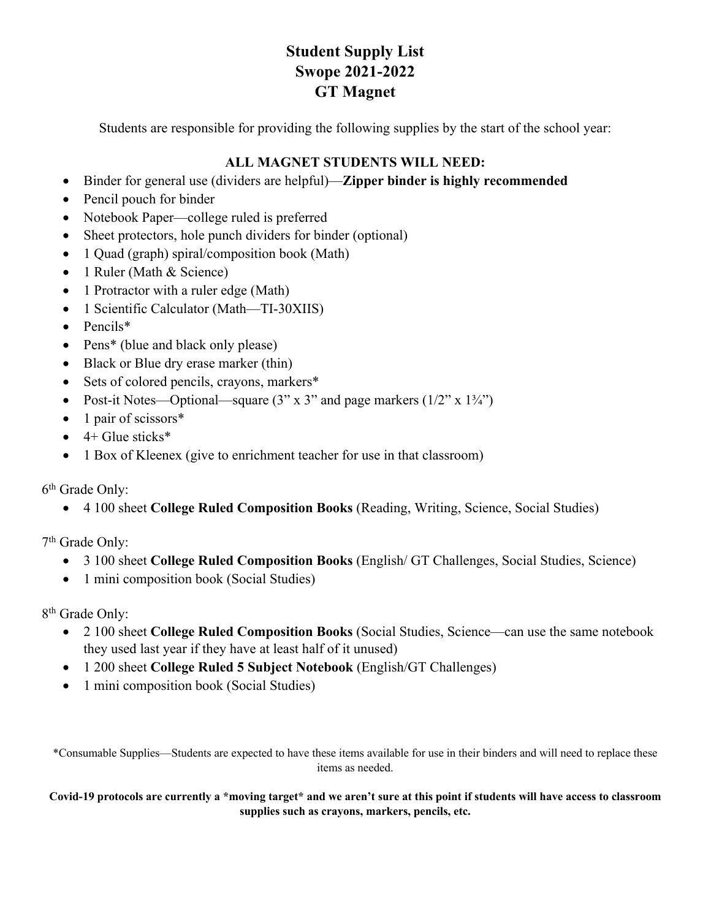## **Student Supply List Swope 2021-2022 GT Magnet**

Students are responsible for providing the following supplies by the start of the school year:

## **ALL MAGNET STUDENTS WILL NEED:**

- Binder for general use (dividers are helpful)—**Zipper binder is highly recommended**
- Pencil pouch for binder
- Notebook Paper—college ruled is preferred
- Sheet protectors, hole punch dividers for binder (optional)
- 1 Quad (graph) spiral/composition book (Math)
- 1 Ruler (Math & Science)
- 1 Protractor with a ruler edge (Math)
- 1 Scientific Calculator (Math—TI-30XIIS)
- Pencils\*
- Pens<sup>\*</sup> (blue and black only please)
- Black or Blue dry erase marker (thin)
- Sets of colored pencils, crayons, markers\*
- Post-it Notes—Optional—square  $(3'' \times 3''$  and page markers  $(1/2'' \times 1\frac{3}{4''})$
- 1 pair of scissors\*
- $\bullet$  4+ Glue sticks\*
- 1 Box of Kleenex (give to enrichment teacher for use in that classroom)

6th Grade Only:

• 4 100 sheet **College Ruled Composition Books** (Reading, Writing, Science, Social Studies)

7th Grade Only:

- 3 100 sheet **College Ruled Composition Books** (English/ GT Challenges, Social Studies, Science)
- 1 mini composition book (Social Studies)

8th Grade Only:

- 2 100 sheet **College Ruled Composition Books** (Social Studies, Science—can use the same notebook they used last year if they have at least half of it unused)
- 1 200 sheet **College Ruled 5 Subject Notebook** (English/GT Challenges)
- 1 mini composition book (Social Studies)

\*Consumable Supplies—Students are expected to have these items available for use in their binders and will need to replace these items as needed.

**Covid-19 protocols are currently a \*moving target\* and we aren't sure at this point if students will have access to classroom supplies such as crayons, markers, pencils, etc.**